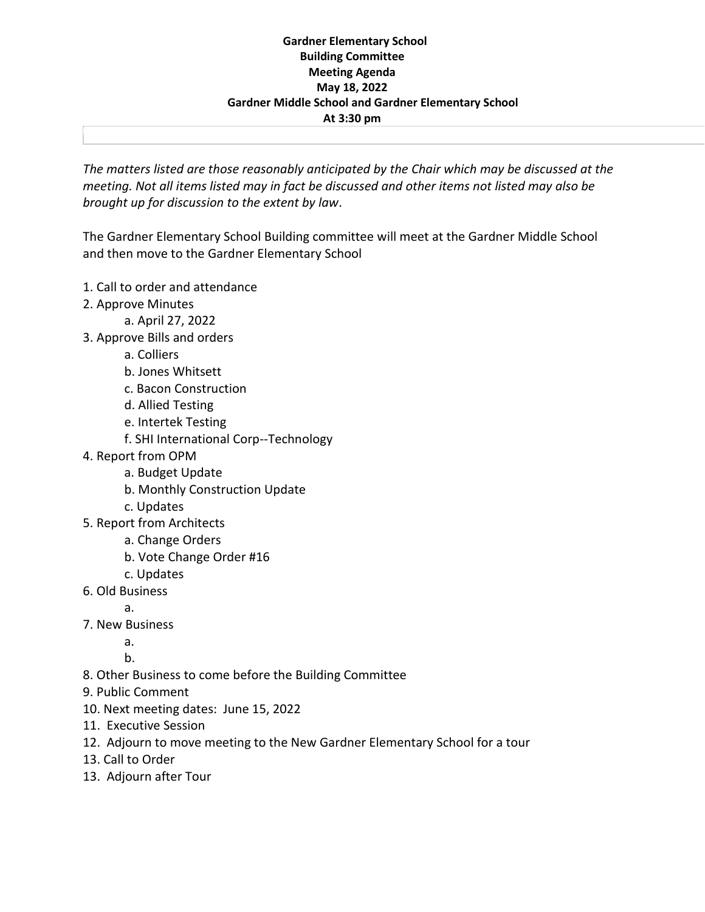## **Gardner Elementary School Building Committee Meeting Agenda May 18, 2022 Gardner Middle School and Gardner Elementary School At 3:30 pm**

*The matters listed are those reasonably anticipated by the Chair which may be discussed at the meeting. Not all items listed may in fact be discussed and other items not listed may also be brought up for discussion to the extent by law*.

The Gardner Elementary School Building committee will meet at the Gardner Middle School and then move to the Gardner Elementary School

- 1. Call to order and attendance
- 2. Approve Minutes
	- a. April 27, 2022
- 3. Approve Bills and orders
	- a. Colliers
	- b. Jones Whitsett
	- c. Bacon Construction
	- d. Allied Testing
	- e. Intertek Testing
	- f. SHI International Corp--Technology
- 4. Report from OPM
	- a. Budget Update
	- b. Monthly Construction Update
	- c. Updates
- 5. Report from Architects
	- a. Change Orders
	- b. Vote Change Order #16
	- c. Updates
- 6. Old Business
	- a.
- 7. New Business
	- a.
	- b.
- 8. Other Business to come before the Building Committee
- 9. Public Comment
- 10. Next meeting dates: June 15, 2022
- 11. Executive Session
- 12. Adjourn to move meeting to the New Gardner Elementary School for a tour
- 13. Call to Order
- 13. Adjourn after Tour